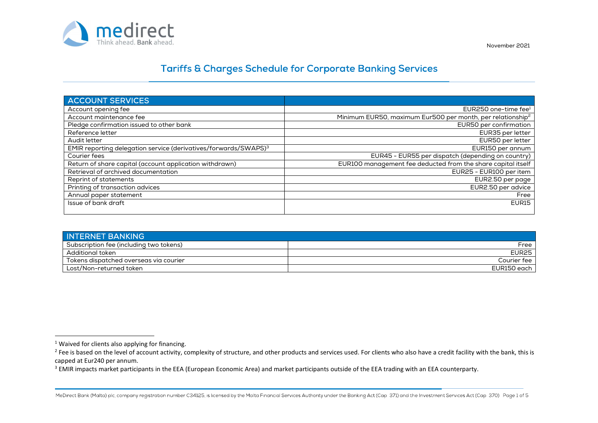

November 2021

### **Tariffs & Charges Schedule for Corporate Banking Services**

| <b>ACCOUNT SERVICES</b>                                                     |                                                                        |
|-----------------------------------------------------------------------------|------------------------------------------------------------------------|
| Account opening fee                                                         | EUR250 one-time fee <sup>1</sup>                                       |
| Account maintenance fee                                                     | Minimum EUR50, maximum Eur500 per month, per relationship <sup>2</sup> |
| Pledge confirmation issued to other bank                                    | EUR50 per confirmation                                                 |
| Reference letter                                                            | EUR35 per letter                                                       |
| Audit letter                                                                | EUR50 per letter                                                       |
| EMIR reporting delegation service (derivatives/forwards/SWAPS) <sup>3</sup> | EUR150 per annum                                                       |
| Courier fees                                                                | EUR45 - EUR55 per dispatch (depending on country)                      |
| Return of share capital (account application withdrawn)                     | EUR100 management fee deducted from the share capital itself           |
| Retrieval of archived documentation                                         | EUR25 - EUR100 per item                                                |
| Reprint of statements                                                       | EUR2.50 per page                                                       |
| Printing of transaction advices                                             | EUR2.50 per advice                                                     |
| Annual paper statement                                                      | Free                                                                   |
| Issue of bank draft                                                         | EUR15                                                                  |
|                                                                             |                                                                        |

| <b>INTERNET BANKING</b>                 |              |
|-----------------------------------------|--------------|
| Subscription fee (including two tokens) | Free         |
| Additional token                        | <b>EUR25</b> |
| Tokens dispatched overseas via courier  | Courier fee  |
| Lost/Non-returned token                 | EUR150 each  |

capped at Eur240 per annum.<br><sup>3</sup> EMIR impacts market participants in the EEA (European Economic Area) and market participants outside of the EEA trading with an EEA counterparty.

MeDirect Bank (Malta) plc, company registration number C34125, is licensed by the Malta Financial Services Authority under the Banking Act (Cap. 371) and the Investment Services Act (Cap. 370) Page 1 of 5

<sup>&</sup>lt;sup>1</sup> Waived for clients also applying for financing.<br><sup>2</sup> Eee is based on the level of account activity, c

<sup>&</sup>lt;sup>2</sup> Fee is based on the level of account activity, complexity of structure, and other products and services used. For clients who also have a credit facility with the bank, this is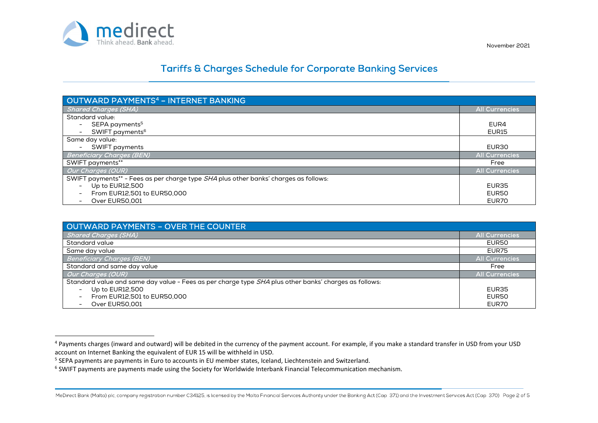

## **Tariffs & Charges Schedule for Corporate Banking Services**

| <b>OUTWARD PAYMENTS<sup>4</sup> - INTERNET BANKING</b>                               |                       |
|--------------------------------------------------------------------------------------|-----------------------|
| <b>Shared Charges (SHA)</b>                                                          | <b>All Currencies</b> |
| Standard value:                                                                      |                       |
| - SEPA payments <sup>5</sup>                                                         | EUR4                  |
| SWIFT payments <sup>6</sup>                                                          | <b>EUR15</b>          |
| Same day value:                                                                      |                       |
| <b>SWIFT payments</b>                                                                | EUR30                 |
| Beneficiary Charges (BEN)                                                            | <b>All Currencies</b> |
| SWIFT payments**                                                                     | Free                  |
| <b>Our Charges (OUR)</b>                                                             | <b>All Currencies</b> |
| SWIFT payments** - Fees as per charge type SHA plus other banks' charges as follows: |                       |
| Up to EUR12,500                                                                      | EUR35                 |
| From EUR12.501 to EUR50.000                                                          | EUR50                 |
| Over EUR50,001                                                                       | EUR70                 |

| OUTWARD PAYMENTS - OVER THE COUNTER                                                                   |                   |
|-------------------------------------------------------------------------------------------------------|-------------------|
| <b>Shared Charges (SHA)</b>                                                                           | All Currencies    |
| Standard value                                                                                        | EUR <sub>50</sub> |
| Same day value                                                                                        | EUR75             |
| <b>Beneficiary Charges (BEN)</b>                                                                      | All Currencies    |
| Standard and same day value                                                                           | Free              |
| Our Charges (OUR)                                                                                     | All Currencies    |
| Standard value and same day value - Fees as per charge type SHA plus other banks' charges as follows: |                   |
| Up to EUR12,500                                                                                       | EUR <sub>35</sub> |
| From EUR12.501 to EUR50.000                                                                           | EUR <sub>50</sub> |
| Over EUR50.001                                                                                        | EUR70             |

<sup>&</sup>lt;sup>4</sup> Payments charges (inward and outward) will be debited in the currency of the payment account. For example, if you make a standard transfer in USD from your USD account on Internet Banking the equivalent of EUR 15 will be withheld in USD.

<sup>&</sup>lt;sup>5</sup> SEPA payments are payments in Euro to accounts in EU member states, Iceland, Liechtenstein and Switzerland.

<sup>&</sup>lt;sup>6</sup> SWIFT payments are payments made using the Society for Worldwide Interbank Financial Telecommunication mechanism.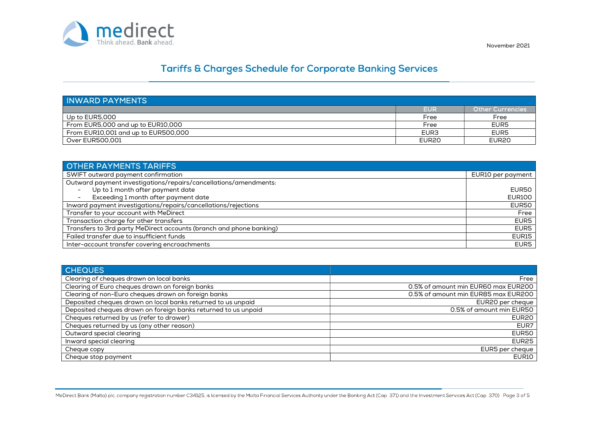

# **Tariffs & Charges Schedule for Corporate Banking Services**

| <b>INWARD PAYMENTS</b>                    |                   |                   |
|-------------------------------------------|-------------------|-------------------|
|                                           | <b>EUR</b>        | Other Currencies  |
| Up to EUR5,000                            | Free              | Free              |
| From EUR5,000 and up to $E$ UR10,000 $\,$ | Free              | EUR5              |
| From EUR10,001 and up to EUR500,000       | EUR <sub>3</sub>  | EUR <sub>5</sub>  |
| Over EUR500.001                           | EUR <sub>20</sub> | EUR <sub>20</sub> |

| <b>OTHER PAYMENTS TARIFFS</b>                                       |                   |
|---------------------------------------------------------------------|-------------------|
| SWIFT outward payment confirmation                                  | EUR10 per payment |
| Outward payment investigations/repairs/cancellations/amendments:    |                   |
| Up to 1 month after payment date                                    | EUR50             |
| Exceeding 1 month after payment date                                | <b>EUR100</b>     |
| Inward payment investigations/repairs/cancellations/rejections      | EUR50             |
| Transfer to your account with MeDirect                              | Free              |
| Transaction charge for other transfers                              | EUR <sub>5</sub>  |
| Transfers to 3rd party MeDirect accounts (branch and phone banking) | EUR <sub>5</sub>  |
| Failed transfer due to insufficient funds                           | EUR15             |
| Inter-account transfer covering encroachments                       | EUR5              |

| <b>CHEQUES</b>                                                 |                                     |
|----------------------------------------------------------------|-------------------------------------|
| Clearing of cheques drawn on local banks                       | Free                                |
| Clearing of Euro cheques drawn on foreign banks                | 0.5% of amount min EUR60 max EUR200 |
| Clearing of non-Euro cheques drawn on foreign banks            | 0.5% of amount min EUR85 max EUR200 |
| Deposited cheques drawn on local banks returned to us unpaid   | EUR20 per cheque                    |
| Deposited cheques drawn on foreign banks returned to us unpaid | 0.5% of amount min EUR50            |
| Cheques returned by us (refer to drawer)                       | EUR <sub>20</sub>                   |
| Cheques returned by us (any other reason)                      | EUR7                                |
| Outward special clearing                                       | EUR50                               |
| Inward special clearing                                        | <b>EUR25</b>                        |
| Cheque copy                                                    | EUR5 per cheque                     |
| Cheque stop payment                                            | <b>EUR10</b>                        |

November 2021

MeDirect Bank (Malta) plc, company registration number C34125, is licensed by the Malta Financial Services Authority under the Banking Act (Cap. 371) and the Investment Services Act (Cap. 370) Page 3 of 5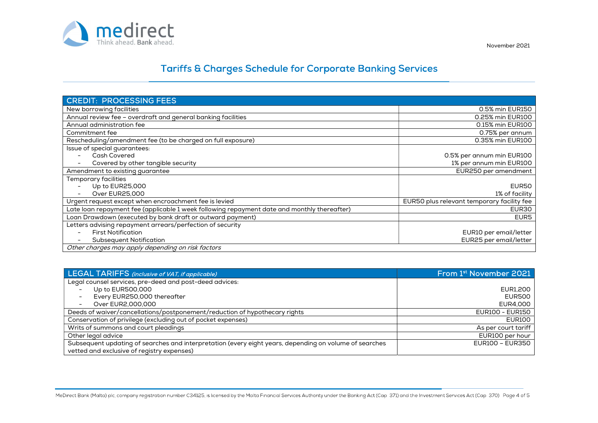

November 2021

## **Tariffs & Charges Schedule for Corporate Banking Services**

| <b>CREDIT: PROCESSING FEES</b>                                                              |                                            |
|---------------------------------------------------------------------------------------------|--------------------------------------------|
| New borrowing facilities                                                                    | 0.5% min EUR150                            |
| Annual review fee - overdraft and general banking facilities                                | 0.25% min EUR100                           |
| Annual administration fee                                                                   | 0.15% min EUR100                           |
| Commitment fee                                                                              | 0.75% per annum                            |
| Rescheduling/amendment fee (to be charged on full exposure)                                 | 0.35% min EUR100                           |
| Issue of special guarantees:                                                                |                                            |
| <b>Cash Covered</b>                                                                         | 0.5% per annum min EUR100                  |
| Covered by other tangible security                                                          | 1% per annum min EUR100                    |
| Amendment to existing guarantee                                                             | EUR250 per amendment                       |
| Temporary facilities                                                                        |                                            |
| Up to EUR25,000                                                                             | EUR50                                      |
| Over EUR25,000                                                                              | 1% of facility                             |
| Urgent request except when encroachment fee is levied                                       | EUR50 plus relevant temporary facility fee |
| Late loan repayment fee (applicable 1 week following repayment date and monthly thereafter) | EUR30                                      |
| Loan Drawdown (executed by bank draft or outward payment)                                   | EUR <sub>5</sub>                           |
| Letters advising repayment arrears/perfection of security                                   |                                            |
| <b>First Notification</b>                                                                   | EUR10 per email/letter                     |
| <b>Subsequent Notification</b>                                                              | EUR25 per email/letter                     |
| Other charges may apply depending on risk factors                                           |                                            |

| <b>LEGAL TARIFFS</b> (inclusive of VAT, if applicable)                                                 | From 1 <sup>st</sup> November 2021 |
|--------------------------------------------------------------------------------------------------------|------------------------------------|
| Legal counsel services, pre-deed and post-deed advices:                                                |                                    |
| Up to EUR500,000                                                                                       | EUR1.200                           |
| Every EUR250,000 thereafter<br>$\overline{\phantom{0}}$                                                | EUR500                             |
| Over EUR2,000,000<br>$\overline{\phantom{a}}$                                                          | EUR4,000                           |
| Deeds of waiver/cancellations/postponement/reduction of hypothecary rights                             | <b>EUR100 - EUR150</b>             |
| Conservation of privilege (excluding out of pocket expenses)                                           | EUR100                             |
| Writs of summons and court pleadings                                                                   | As per court tariff                |
| Other legal advice                                                                                     | EUR100 per hour                    |
| Subsequent updating of searches and interpretation (every eight years, depending on volume of searches | EUR100 - EUR350                    |
| vetted and exclusive of registry expenses)                                                             |                                    |

MeDirect Bank (Malta) plc, company registration number C34125, is licensed by the Malta Financial Services Authority under the Banking Act (Cap. 371) and the Investment Services Act (Cap. 370) Page 4 of 5